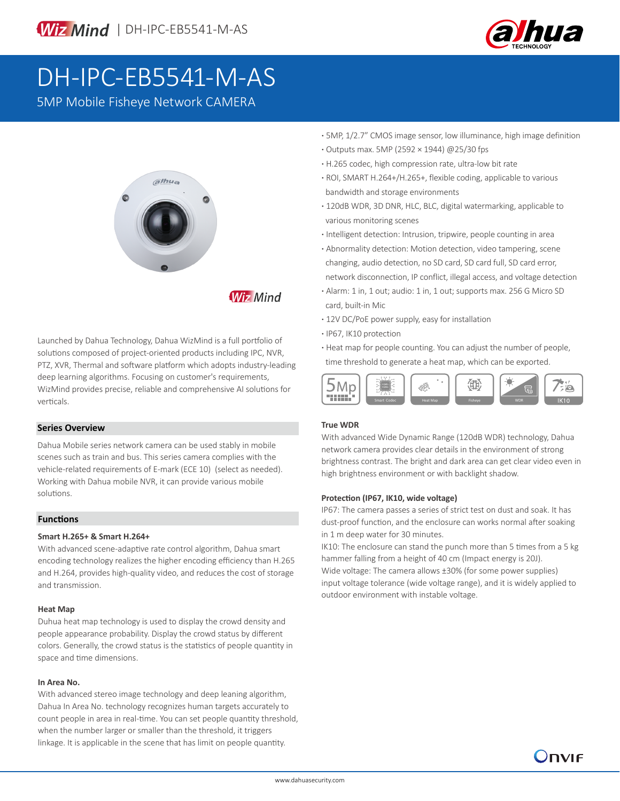



# DH-IPC-EB5541-M-AS

5MP Mobile Fisheye Network CAMERA



**Wiz Mind** 

Launched by Dahua Technology, Dahua WizMind is a full portfolio of solutions composed of project-oriented products including IPC, NVR, PTZ, XVR, Thermal and software platform which adopts industry-leading deep learning algorithms. Focusing on customer's requirements, WizMind provides precise, reliable and comprehensive AI solutions for verticals. Similarly smart Codec Heat Map Fisheye Heat Map Fisheye WDR (September 1999) and Codec Heat Map Fisheye WDR

### **Series Overview**

Dahua Mobile series network camera can be used stably in mobile scenes such as train and bus. This series camera complies with the vehicle-related requirements of E-mark (ECE 10) (select as needed). Working with Dahua mobile NVR, it can provide various mobile solutions.

### **Functions**

### **Smart H.265+ & Smart H.264+**

With advanced scene-adaptive rate control algorithm, Dahua smart encoding technology realizes the higher encoding efficiency than H.265 and H.264, provides high-quality video, and reduces the cost of storage and transmission.

### **Heat Map**

Duhua heat map technology is used to display the crowd density and people appearance probability. Display the crowd status by different colors. Generally, the crowd status is the statistics of people quantity in space and time dimensions.

### **In Area No.**

With advanced stereo image technology and deep leaning algorithm, Dahua In Area No. technology recognizes human targets accurately to count people in area in real-time. You can set people quantity threshold, when the number larger or smaller than the threshold, it triggers linkage. It is applicable in the scene that has limit on people quantity.

- **·** 5MP, 1/2.7" CMOS image sensor, low illuminance, high image definition **·** Outputs max. 5MP (2592 × 1944) @25/30 fps
- **·** H.265 codec, high compression rate, ultra-low bit rate
- **·** ROI, SMART H.264+/H.265+, flexible coding, applicable to various bandwidth and storage environments
- **·** 120dB WDR, 3D DNR, HLC, BLC, digital watermarking, applicable to various monitoring scenes
- **·** Intelligent detection: Intrusion, tripwire, people counting in area
- **·** Abnormality detection: Motion detection, video tampering, scene changing, audio detection, no SD card, SD card full, SD card error, network disconnection, IP conflict, illegal access, and voltage detection
- **·** Alarm: 1 in, 1 out; audio: 1 in, 1 out; supports max. 256 G Micro SD card, built-in Mic
- **·** 12V DC/PoE power supply, easy for installation
- **·** IP67, IK10 protection
- **·** Heat map for people counting. You can adjust the number of people, time threshold to generate a heat map, which can be exported.



### **True WDR**

With advanced Wide Dynamic Range (120dB WDR) technology, Dahua network camera provides clear details in the environment of strong brightness contrast. The bright and dark area can get clear video even in high brightness environment or with backlight shadow.

### **Protection (IP67, IK10, wide voltage)**

IP67: The camera passes a series of strict test on dust and soak. It has dust-proof function, and the enclosure can works normal after soaking in 1 m deep water for 30 minutes.

IK10: The enclosure can stand the punch more than 5 times from a 5 kg hammer falling from a height of 40 cm (Impact energy is 20J). Wide voltage: The camera allows ±30% (for some power supplies) input voltage tolerance (wide voltage range), and it is widely applied to outdoor environment with instable voltage.

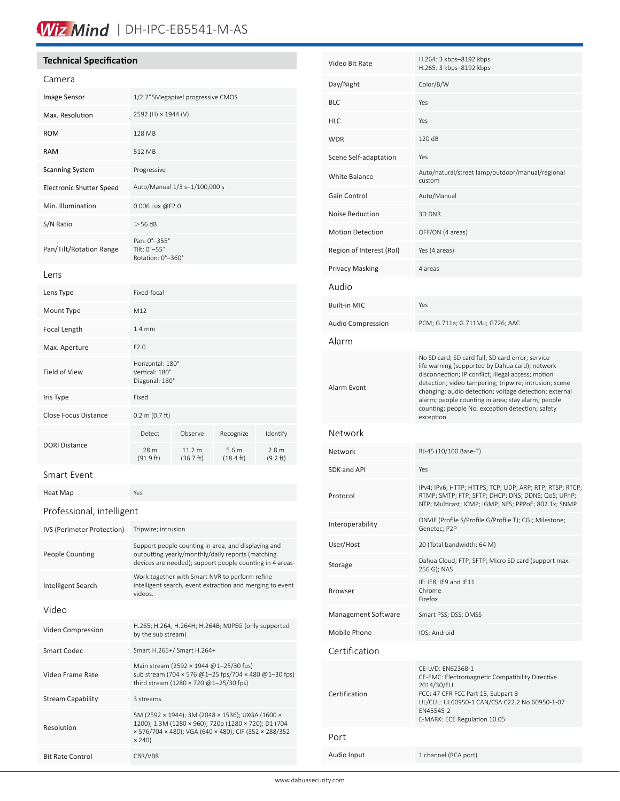### Wiz Mind | DH-IPC-EB5541-M-AS

### **Technical Specification**

| Camera                          |                                                                                                                                                                                    |                     |                             |                              |  |
|---------------------------------|------------------------------------------------------------------------------------------------------------------------------------------------------------------------------------|---------------------|-----------------------------|------------------------------|--|
| Image Sensor                    | 1/2.7" 5 Megapixel progressive CMOS                                                                                                                                                |                     |                             |                              |  |
| Max. Resolution                 | 2592 (H) × 1944 (V)                                                                                                                                                                |                     |                             |                              |  |
| <b>ROM</b>                      | 128 MB                                                                                                                                                                             |                     |                             |                              |  |
| <b>RAM</b>                      | 512 MB                                                                                                                                                                             |                     |                             |                              |  |
| <b>Scanning System</b>          | Progressive                                                                                                                                                                        |                     |                             |                              |  |
| <b>Electronic Shutter Speed</b> | Auto/Manual 1/3 s-1/100,000 s                                                                                                                                                      |                     |                             |                              |  |
| Min. Illumination               | 0.006 Lux @F2.0                                                                                                                                                                    |                     |                             |                              |  |
| S/N Ratio                       | $>56$ dB                                                                                                                                                                           |                     |                             |                              |  |
| Pan/Tilt/Rotation Range         | Pan: 0°-355°<br>Tilt: 0°-55°<br>Rotation: 0°-360°                                                                                                                                  |                     |                             |                              |  |
| Lens                            |                                                                                                                                                                                    |                     |                             |                              |  |
| Lens Type                       | Fixed-focal                                                                                                                                                                        |                     |                             |                              |  |
| Mount Type                      | M12                                                                                                                                                                                |                     |                             |                              |  |
| Focal Length                    | $1.4 \text{ mm}$                                                                                                                                                                   |                     |                             |                              |  |
| Max. Aperture                   | F2.0                                                                                                                                                                               |                     |                             |                              |  |
| Field of View                   | Horizontal: 180°<br>Vertical: 180°<br>Diagonal: 180°                                                                                                                               |                     |                             |                              |  |
| Iris Type                       | Fixed                                                                                                                                                                              |                     |                             |                              |  |
| <b>Close Focus Distance</b>     | $0.2 \text{ m } (0.7 \text{ ft})$                                                                                                                                                  |                     |                             |                              |  |
|                                 | Detect                                                                                                                                                                             | Observe             | Recognize                   | Identify                     |  |
| <b>DORI Distance</b>            | 28 m<br>(91.9 ft)                                                                                                                                                                  | 11.2 m<br>(36.7 ft) | 5.6m<br>$(18.4 \text{ ft})$ | 2.8 <sub>m</sub><br>(9.2 ft) |  |
| Smart Event                     |                                                                                                                                                                                    |                     |                             |                              |  |
| Heat Map                        | Yes                                                                                                                                                                                |                     |                             |                              |  |
| Professional, intelligent       |                                                                                                                                                                                    |                     |                             |                              |  |
| IVS (Perimeter Protection)      | Tripwire; intrusion                                                                                                                                                                |                     |                             |                              |  |
| <b>People Counting</b>          | Support people counting in area, and displaying and<br>outputting yearly/monthly/daily reports (matching<br>devices are needed); support people counting in 4 areas                |                     |                             |                              |  |
| Intelligent Search              | Work together with Smart NVR to perform refine<br>intelligent search, event extraction and merging to event<br>videos.                                                             |                     |                             |                              |  |
| Video                           |                                                                                                                                                                                    |                     |                             |                              |  |
| Video Compression               | H.265; H.264; H.264H; H.264B; MJPEG (only supported<br>by the sub stream)                                                                                                          |                     |                             |                              |  |
| <b>Smart Codec</b>              | Smart H.265+/ Smart H.264+                                                                                                                                                         |                     |                             |                              |  |
| Video Frame Rate                | Main stream (2592 × 1944 @1-25/30 fps)<br>sub stream (704 × 576 @1-25 fps/704 × 480 @1-30 fps)<br>third stream (1280 × 720 $@1-25/30$ fps)                                         |                     |                             |                              |  |
| <b>Stream Capability</b>        | 3 streams                                                                                                                                                                          |                     |                             |                              |  |
| Resolution                      | 5M (2592 × 1944); 3M (2048 × 1536); UXGA (1600 ×<br>1200); 1.3M (1280 × 960); 720p (1280 × 720); D1 (704<br>× 576/704 × 480); VGA (640 × 480); CIF (352 × 288/352<br>$\times$ 240) |                     |                             |                              |  |
| <b>Bit Rate Control</b>         | CBR/VBR                                                                                                                                                                            |                     |                             |                              |  |

| Video Bit Rate           | H.264: 3 kbps-8192 kbps<br>H.265: 3 kbps-8192 kbps                                                                                                                                                                                                                                                                                                                                                   |  |  |
|--------------------------|------------------------------------------------------------------------------------------------------------------------------------------------------------------------------------------------------------------------------------------------------------------------------------------------------------------------------------------------------------------------------------------------------|--|--|
| Day/Night                | Color/B/W                                                                                                                                                                                                                                                                                                                                                                                            |  |  |
| BLC                      | Yes                                                                                                                                                                                                                                                                                                                                                                                                  |  |  |
| HLC                      | Yes                                                                                                                                                                                                                                                                                                                                                                                                  |  |  |
| <b>WDR</b>               | 120 dB                                                                                                                                                                                                                                                                                                                                                                                               |  |  |
| Scene Self-adaptation    | Yes                                                                                                                                                                                                                                                                                                                                                                                                  |  |  |
| <b>White Balance</b>     | Auto/natural/street lamp/outdoor/manual/regional<br>custom                                                                                                                                                                                                                                                                                                                                           |  |  |
| Gain Control             | Auto/Manual                                                                                                                                                                                                                                                                                                                                                                                          |  |  |
| <b>Noise Reduction</b>   | 3D DNR                                                                                                                                                                                                                                                                                                                                                                                               |  |  |
| <b>Motion Detection</b>  | OFF/ON (4 areas)                                                                                                                                                                                                                                                                                                                                                                                     |  |  |
| Region of Interest (RoI) | Yes (4 areas)                                                                                                                                                                                                                                                                                                                                                                                        |  |  |
| Privacy Masking          | 4 areas                                                                                                                                                                                                                                                                                                                                                                                              |  |  |
| Audio                    |                                                                                                                                                                                                                                                                                                                                                                                                      |  |  |
| <b>Built-in MIC</b>      | Yes                                                                                                                                                                                                                                                                                                                                                                                                  |  |  |
| <b>Audio Compression</b> | PCM; G.711a; G.711Mu; G726; AAC                                                                                                                                                                                                                                                                                                                                                                      |  |  |
| Alarm                    |                                                                                                                                                                                                                                                                                                                                                                                                      |  |  |
| Alarm Event              | No SD card; SD card full; SD card error; service<br>life warning (supported by Dahua card); network<br>disconnection; IP conflict; illegal access; motion<br>detection; video tampering; tripwire; intrusion; scene<br>changing; audio detection; voltage detection; external<br>alarm; people counting in area; stay alarm; people<br>counting; people No. exception detection; safety<br>exception |  |  |
| Network                  |                                                                                                                                                                                                                                                                                                                                                                                                      |  |  |
| Network                  | RJ-45 (10/100 Base-T)                                                                                                                                                                                                                                                                                                                                                                                |  |  |
| SDK and API              | Yes                                                                                                                                                                                                                                                                                                                                                                                                  |  |  |
| Protocol                 | IPv4; IPv6; HTTP; HTTPS; TCP; UDP; ARP; RTP; RTSP; RTCP;<br>RTMP; SMTP; FTP; SFTP; DHCP; DNS; DDNS; QoS; UPnP;<br>NTP; Multicast; ICMP; IGMP; NFS; PPPoE; 802.1x; SNMP                                                                                                                                                                                                                               |  |  |
| Interoperability         | ONVIF (Profile S/Profile G/Profile T); CGI; Milestone;<br>Genetec; P2P                                                                                                                                                                                                                                                                                                                               |  |  |
| User/Host                | 20 (Total bandwidth: 64 M)                                                                                                                                                                                                                                                                                                                                                                           |  |  |
| Storage                  | Dahua Cloud; FTP; SFTP; Micro SD card (support max.<br>256 G); NAS                                                                                                                                                                                                                                                                                                                                   |  |  |
| Browser                  | IE: IE8, IE9 and IE11<br>Chrome<br>Firefox                                                                                                                                                                                                                                                                                                                                                           |  |  |
| Management Software      | Smart PSS; DSS; DMSS                                                                                                                                                                                                                                                                                                                                                                                 |  |  |
| Mobile Phone             | IOS; Android                                                                                                                                                                                                                                                                                                                                                                                         |  |  |
| Certification            |                                                                                                                                                                                                                                                                                                                                                                                                      |  |  |
| Certification            | CE-LVD: EN62368-1<br>CE-EMC: Electromagnetic Compatibility Directive<br>2014/30/EU<br>FCC: 47 CFR FCC Part 15, Subpart B<br>UL/CUL: UL60950-1 CAN/CSA C22.2 No.60950-1-07<br>EN45545-2<br>E-MARK: ECE Regulation 10.05                                                                                                                                                                               |  |  |
| Port                     |                                                                                                                                                                                                                                                                                                                                                                                                      |  |  |
| Audio Input              | 1 channel (RCA port)                                                                                                                                                                                                                                                                                                                                                                                 |  |  |
|                          |                                                                                                                                                                                                                                                                                                                                                                                                      |  |  |